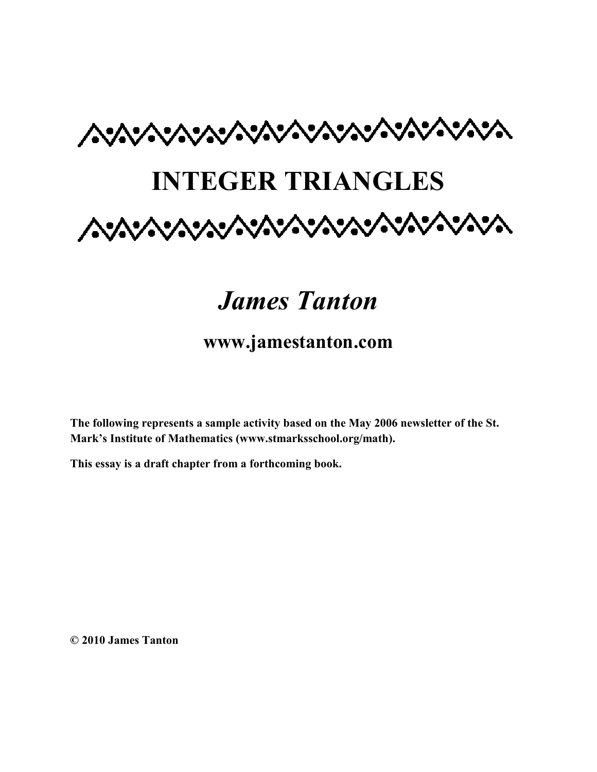

# *James Tanton*

### **www.jamestanton.com**

**The following represents a sample activity based on the May 2006 newsletter of the St. Mark's Institute of Mathematics (www.stmarksschool.org/math).** 

**This essay is a draft chapter from a forthcoming book.** 

**© 2010 James Tanton**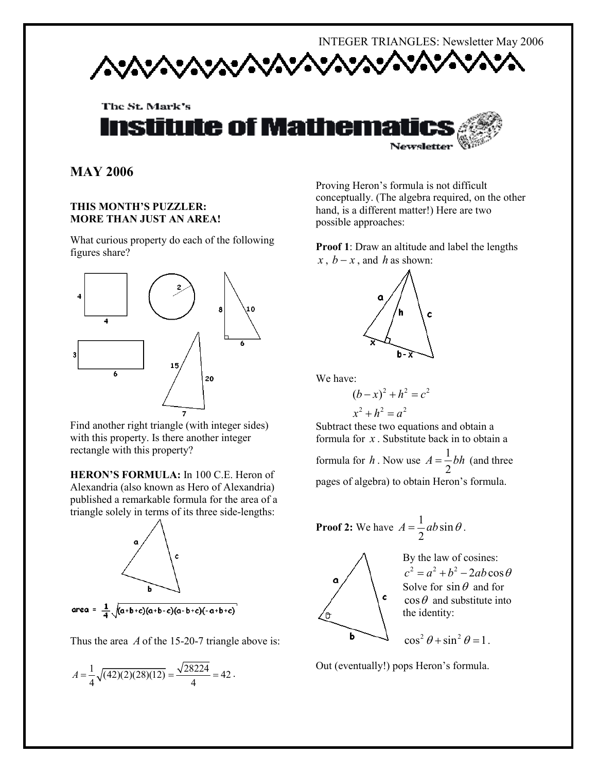## INTEGER TRIANGLES: Newsletter May 2006

The St. Mark's **istitute of Mathema** Newsletter

**MAY 2006** 

#### **THIS MONTH'S PUZZLER: MORE THAN JUST AN AREA!**

What curious property do each of the following figures share?



Find another right triangle (with integer sides) with this property. Is there another integer rectangle with this property?

**HERON'S FORMULA:** In 100 C.E. Heron of Alexandria (also known as Hero of Alexandria) published a remarkable formula for the area of a triangle solely in terms of its three side-lengths:



Thus the area *A* of the 15-20-7 triangle above is:

$$
A = \frac{1}{4}\sqrt{(42)(2)(28)(12)} = \frac{\sqrt{28224}}{4} = 42.
$$

Proving Heron's formula is not difficult conceptually. (The algebra required, on the other hand, is a different matter!) Here are two possible approaches:

**Proof 1**: Draw an altitude and label the lengths *x*, *b* − *x*, and *h* as shown:



We have:

$$
(b-x)^2 + h^2 = c^2
$$
  

$$
x^2 + h^2 = a^2
$$

Subtract these two equations and obtain a formula for *x* . Substitute back in to obtain a formula for *h*. Now use  $A = \frac{1}{2}$ 2  $A = \frac{1}{2}bh$  (and three pages of algebra) to obtain Heron's formula.

**Proof 2:** We have 
$$
A = \frac{1}{2}ab\sin\theta
$$
.



By the law of cosines:  $c^2 = a^2 + b^2 - 2ab\cos\theta$ Solve for  $\sin \theta$  and for  $\cos\theta$  and substitute into the identity:

$$
\cos^2\theta + \sin^2\theta = 1.
$$

Out (eventually!) pops Heron's formula.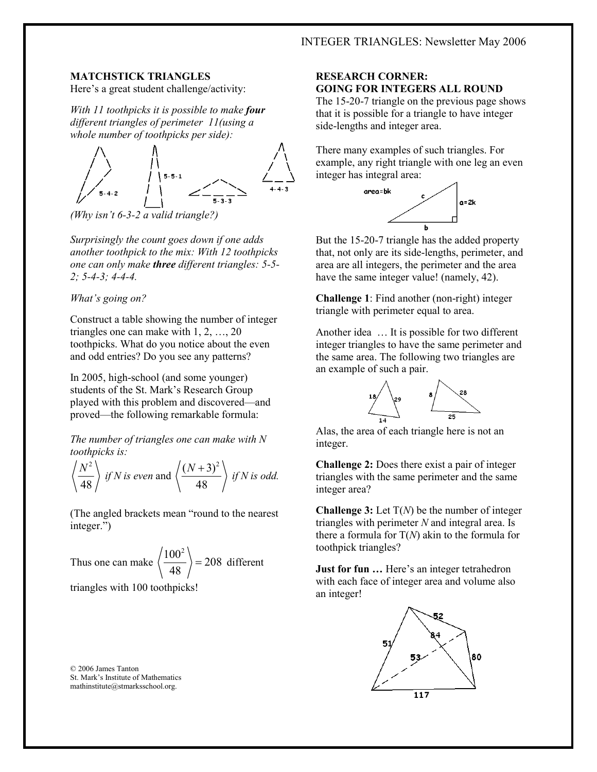#### **MATCHSTICK TRIANGLES**

Here's a great student challenge/activity:

*With 11 toothpicks it is possible to make four different triangles of perimeter 11(using a whole number of toothpicks per side):* 



*(Why isn't 6-3-2 a valid triangle?)* 

*Surprisingly the count goes down if one adds another toothpick to the mix: With 12 toothpicks one can only make three different triangles: 5-5- 2; 5-4-3; 4-4-4.* 

#### *What's going on?*

Construct a table showing the number of integer triangles one can make with 1, 2, …, 20 toothpicks. What do you notice about the even and odd entries? Do you see any patterns?

In 2005, high-school (and some younger) students of the St. Mark's Research Group played with this problem and discovered—and proved—the following remarkable formula:

*The number of triangles one can make with N toothpicks is:* 

$$
\left\langle \frac{N^2}{48} \right\rangle
$$
 if N is even and  $\left\langle \frac{(N+3)^2}{48} \right\rangle$  if N is odd.

(The angled brackets mean "round to the nearest integer.")

Thus one can make 
$$
\left\langle \frac{100^2}{48} \right\rangle = 208
$$
 different

triangles with 100 toothpicks!

© 2006 James Tanton St. Mark's Institute of Mathematics mathinstitute@stmarksschool.org.

#### **RESEARCH CORNER: GOING FOR INTEGERS ALL ROUND**

The 15-20-7 triangle on the previous page shows that it is possible for a triangle to have integer side-lengths and integer area.

There many examples of such triangles. For example, any right triangle with one leg an even integer has integral area:



But the 15-20-7 triangle has the added property that, not only are its side-lengths, perimeter, and area are all integers, the perimeter and the area have the same integer value! (namely, 42).

**Challenge 1**: Find another (non-right) integer triangle with perimeter equal to area.

Another idea … It is possible for two different integer triangles to have the same perimeter and the same area. The following two triangles are an example of such a pair.



Alas, the area of each triangle here is not an integer.

**Challenge 2:** Does there exist a pair of integer triangles with the same perimeter and the same integer area?

**Challenge 3:** Let T(*N*) be the number of integer triangles with perimeter *N* and integral area. Is there a formula for T(*N*) akin to the formula for toothpick triangles?

**Just for fun ...** Here's an integer tetrahedron with each face of integer area and volume also an integer!

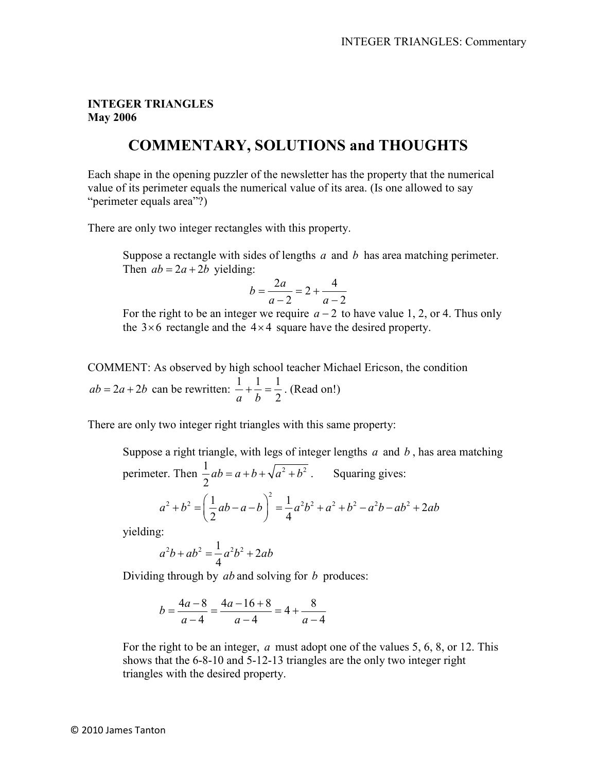#### **INTEGER TRIANGLES May 2006**

### **COMMENTARY, SOLUTIONS and THOUGHTS**

Each shape in the opening puzzler of the newsletter has the property that the numerical value of its perimeter equals the numerical value of its area. (Is one allowed to say "perimeter equals area"?)

There are only two integer rectangles with this property.

 Suppose a rectangle with sides of lengths *a* and *b* has area matching perimeter. Then  $ab = 2a + 2b$  yielding:

$$
b = \frac{2a}{a-2} = 2 + \frac{4}{a-2}
$$

For the right to be an integer we require  $a - 2$  to have value 1, 2, or 4. Thus only the  $3 \times 6$  rectangle and the  $4 \times 4$  square have the desired property.

COMMENT: As observed by high school teacher Michael Ericson, the condition  $ab = 2a + 2b$  can be rewritten:  $\frac{1}{a} + \frac{1}{b} = \frac{1}{2}$ *a b* 2  $+\frac{1}{1} = \frac{1}{2}$ . (Read on!)

There are only two integer right triangles with this same property:

Suppose a right triangle, with legs of integer lengths *a* and *b* , has area matching perimeter. Then  $\frac{1}{2}ab = a+b+\sqrt{a^2+b^2}$ 2  $ab = a + b + \sqrt{a^2 + b^2}$ . Squaring gives:

$$
a^{2} + b^{2} = \left(\frac{1}{2}ab - a - b\right)^{2} = \frac{1}{4}a^{2}b^{2} + a^{2} + b^{2} - a^{2}b - ab^{2} + 2ab
$$

yielding:

$$
a^2b + ab^2 = \frac{1}{4}a^2b^2 + 2ab
$$

Dividing through by *ab* and solving for *b* produces:

$$
b = \frac{4a - 8}{a - 4} = \frac{4a - 16 + 8}{a - 4} = 4 + \frac{8}{a - 4}
$$

For the right to be an integer, *a* must adopt one of the values 5, 6, 8, or 12. This shows that the 6-8-10 and 5-12-13 triangles are the only two integer right triangles with the desired property.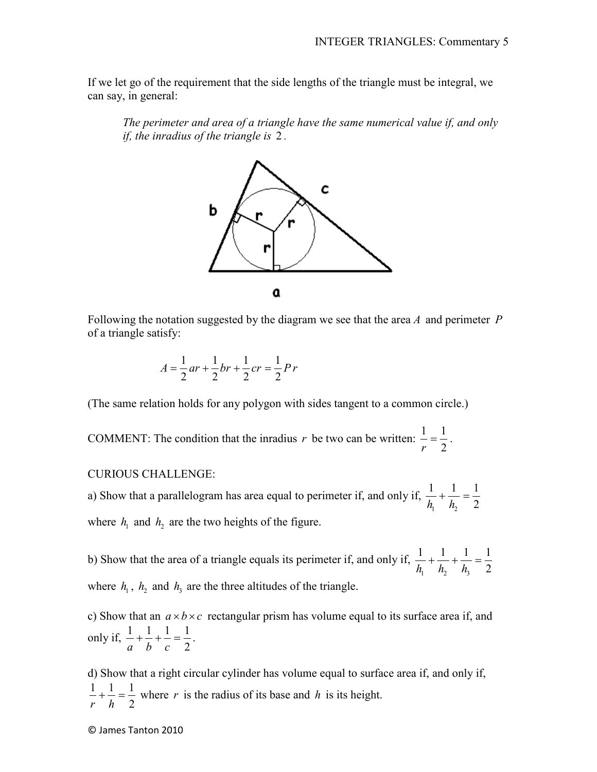If we let go of the requirement that the side lengths of the triangle must be integral, we can say, in general:

*The perimeter and area of a triangle have the same numerical value if, and only if, the inradius of the triangle is* 2 *.* 



Following the notation suggested by the diagram we see that the area *A* and perimeter *P* of a triangle satisfy:

$$
A = \frac{1}{2}ar + \frac{1}{2}br + \frac{1}{2}cr = \frac{1}{2}Pr
$$

(The same relation holds for any polygon with sides tangent to a common circle.)

COMMENT: The condition that the inradius *r* be two can be written:  $\frac{1}{2} = \frac{1}{2}$ *r* 2  $=\frac{1}{2}$ .

#### CURIOUS CHALLENGE:

a) Show that a parallelogram has area equal to perimeter if, and only if,  $1 \t\frac{1}{2}$  $1 \t1 \t1$  $h_1$   $h_2$  2  $+ + - =$ where  $h_1$  and  $h_2$  are the two heights of the figure.

b) Show that the area of a triangle equals its perimeter if, and only if, 1  $\frac{n_2}{3}$  $1 \t1 \t1 \t1$  $h_1$   $h_2$   $h_3$  2  $+\frac{1}{2}+\frac{1}{2}=$ where  $h_1$ ,  $h_2$  and  $h_3$  are the three altitudes of the triangle.

c) Show that an  $a \times b \times c$  rectangular prism has volume equal to its surface area if, and only if,  $\frac{1}{1} + \frac{1}{1} + \frac{1}{1} = \frac{1}{2}$ *a b c* 2  $+\frac{1}{7}+\frac{1}{7}=\frac{1}{2}$ .

d) Show that a right circular cylinder has volume equal to surface area if, and only if,  $1 \t1 \t1$ *r h* 2  $+\frac{1}{x} = \frac{1}{x}$  where *r* is the radius of its base and *h* is its height.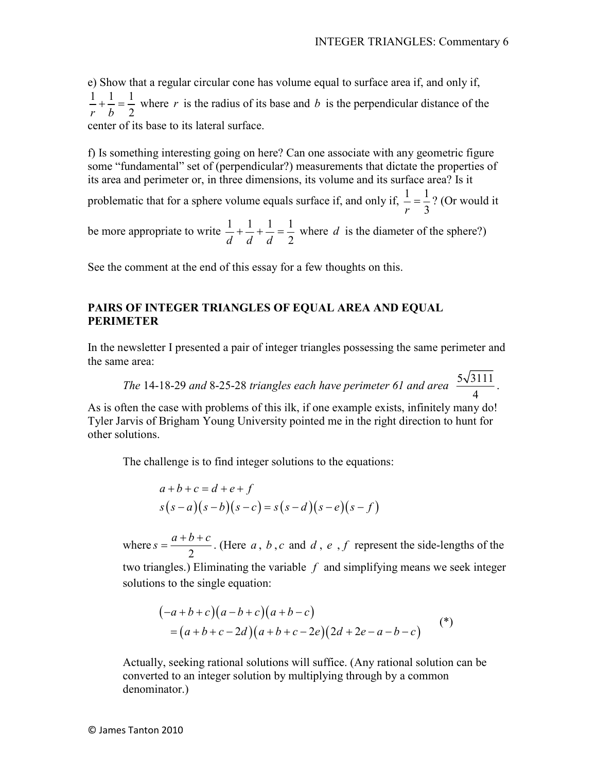e) Show that a regular circular cone has volume equal to surface area if, and only if,  $1 \t1 \t1$ *r b* 2  $+\frac{1}{x} = \frac{1}{x}$  where *r* is the radius of its base and *b* is the perpendicular distance of the center of its base to its lateral surface.

f) Is something interesting going on here? Can one associate with any geometric figure some "fundamental" set of (perpendicular?) measurements that dictate the properties of its area and perimeter or, in three dimensions, its volume and its surface area? Is it

problematic that for a sphere volume equals surface if, and only if,  $\frac{1}{2} = \frac{1}{2}$ *r* 3  $=\frac{1}{2}$ ? (Or would it

be more appropriate to write  $\frac{1}{1} + \frac{1}{1} + \frac{1}{1} = \frac{1}{2}$ *d d d* 2  $+\frac{1}{7}+\frac{1}{7}=\frac{1}{2}$  where *d* is the diameter of the sphere?)

See the comment at the end of this essay for a few thoughts on this.

#### **PAIRS OF INTEGER TRIANGLES OF EQUAL AREA AND EQUAL PERIMETER**

In the newsletter I presented a pair of integer triangles possessing the same perimeter and the same area:

*The* 14-18-29 and 8-25-28 triangles each have perimeter 61 and area  $\frac{5\sqrt{3111}}{1}$ 4 .

As is often the case with problems of this ilk, if one example exists, infinitely many do! Tyler Jarvis of Brigham Young University pointed me in the right direction to hunt for other solutions.

The challenge is to find integer solutions to the equations:

$$
a+b+c=d+e+f
$$
  

$$
s(s-a)(s-b)(s-c) = s(s-d)(s-e)(s-f)
$$

where 2  $s = \frac{a+b+c}{2}$  $=\frac{a+b+c}{2}$ . (Here *a*, *b*, *c* and *d*, *e*, *f* represent the side-lengths of the two triangles.) Eliminating the variable *f* and simplifying means we seek integer solutions to the single equation:

$$
(-a+b+c)(a-b+c)(a+b-c)
$$
  
=  $(a+b+c-2d)(a+b+c-2e)(2d+2e-a-b-c)$  (\*)

Actually, seeking rational solutions will suffice. (Any rational solution can be converted to an integer solution by multiplying through by a common denominator.)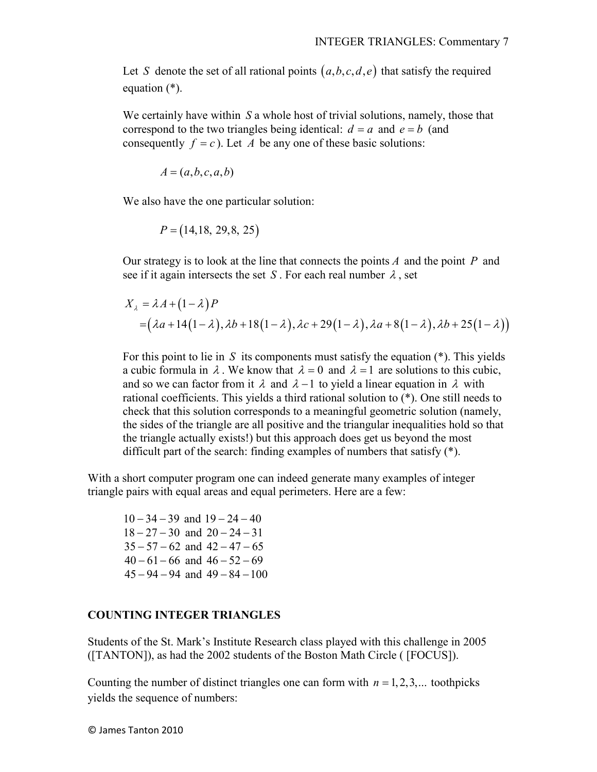Let *S* denote the set of all rational points  $(a, b, c, d, e)$  that satisfy the required equation (\*).

We certainly have within *S* a whole host of trivial solutions, namely, those that correspond to the two triangles being identical:  $d = a$  and  $e = b$  (and consequently  $f = c$ ). Let *A* be any one of these basic solutions:

$$
A = (a, b, c, a, b)
$$

We also have the one particular solution:

$$
P = (14, 18, 29, 8, 25)
$$

Our strategy is to look at the line that connects the points *A* and the point *P* and see if it again intersects the set *S*. For each real number  $\lambda$ , set

$$
X_{\lambda} = \lambda A + (1 - \lambda) P
$$
  
= (\lambda a + 14(1 - \lambda), \lambda b + 18(1 - \lambda), \lambda c + 29(1 - \lambda), \lambda a + 8(1 - \lambda), \lambda b + 25(1 - \lambda))

For this point to lie in *S* its components must satisfy the equation (\*). This yields a cubic formula in  $\lambda$ . We know that  $\lambda = 0$  and  $\lambda = 1$  are solutions to this cubic, and so we can factor from it  $\lambda$  and  $\lambda - 1$  to yield a linear equation in  $\lambda$  with rational coefficients. This yields a third rational solution to (\*). One still needs to check that this solution corresponds to a meaningful geometric solution (namely, the sides of the triangle are all positive and the triangular inequalities hold so that the triangle actually exists!) but this approach does get us beyond the most difficult part of the search: finding examples of numbers that satisfy (\*).

With a short computer program one can indeed generate many examples of integer triangle pairs with equal areas and equal perimeters. Here are a few:

 $10 - 34 - 39$  and  $19 - 24 - 40$  $18 - 27 - 30$  and  $20 - 24 - 31$  $35 - 57 - 62$  and  $42 - 47 - 65$  $40 - 61 - 66$  and  $46 - 52 - 69$  $45 - 94 - 94$  and  $49 - 84 - 100$ 

#### **COUNTING INTEGER TRIANGLES**

Students of the St. Mark's Institute Research class played with this challenge in 2005 ([TANTON]), as had the 2002 students of the Boston Math Circle ( [FOCUS]).

Counting the number of distinct triangles one can form with  $n = 1, 2, 3, \dots$  toothpicks yields the sequence of numbers: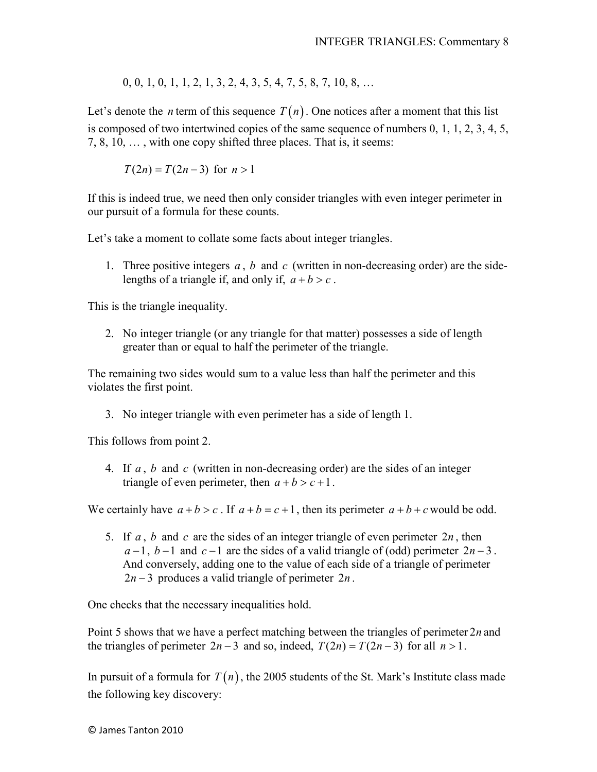0, 0, 1, 0, 1, 1, 2, 1, 3, 2, 4, 3, 5, 4, 7, 5, 8, 7, 10, 8, …

Let's denote the *n* term of this sequence  $T(n)$ . One notices after a moment that this list is composed of two intertwined copies of the same sequence of numbers 0, 1, 1, 2, 3, 4, 5, 7, 8, 10, … , with one copy shifted three places. That is, it seems:

 $T(2n) = T(2n-3)$  for  $n > 1$ 

If this is indeed true, we need then only consider triangles with even integer perimeter in our pursuit of a formula for these counts.

Let's take a moment to collate some facts about integer triangles.

1. Three positive integers *a* , *b* and *c* (written in non-decreasing order) are the sidelengths of a triangle if, and only if,  $a + b > c$ .

This is the triangle inequality.

2. No integer triangle (or any triangle for that matter) possesses a side of length greater than or equal to half the perimeter of the triangle.

The remaining two sides would sum to a value less than half the perimeter and this violates the first point.

3. No integer triangle with even perimeter has a side of length 1.

This follows from point 2.

4. If *a* , *b* and *c* (written in non-decreasing order) are the sides of an integer triangle of even perimeter, then  $a + b > c + 1$ .

We certainly have  $a + b > c$ . If  $a + b = c + 1$ , then its perimeter  $a + b + c$  would be odd.

5. If *a* , *b* and *c* are the sides of an integer triangle of even perimeter 2*n* , then  $a-1$ ,  $b-1$  and  $c-1$  are the sides of a valid triangle of (odd) perimeter  $2n-3$ . And conversely, adding one to the value of each side of a triangle of perimeter  $2n - 3$  produces a valid triangle of perimeter  $2n$ .

One checks that the necessary inequalities hold.

Point 5 shows that we have a perfect matching between the triangles of perimeter 2*n* and the triangles of perimeter  $2n - 3$  and so, indeed,  $T(2n) = T(2n - 3)$  for all  $n > 1$ .

In pursuit of a formula for  $T(n)$ , the 2005 students of the St. Mark's Institute class made the following key discovery: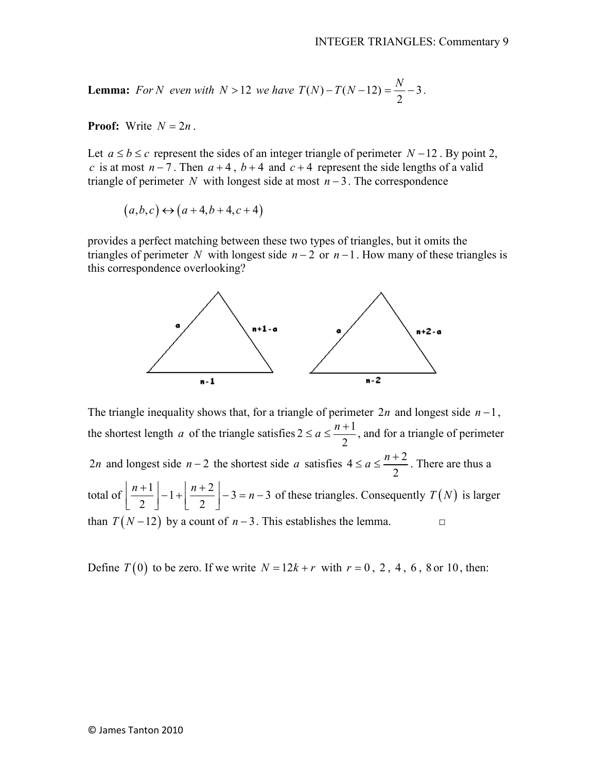**Lemma:** For N even with  $N > 12$  we have  $T(N) - T(N - 12) = \frac{1}{2} - 3$ . 2  $T(N) - T(N-12) = \frac{N}{2} - 3$ .

**Proof:** Write  $N = 2n$ .

Let  $a \le b \le c$  represent the sides of an integer triangle of perimeter  $N-12$ . By point 2, *c* is at most  $n-7$ . Then  $a+4$ ,  $b+4$  and  $c+4$  represent the side lengths of a valid triangle of perimeter *N* with longest side at most  $n-3$ . The correspondence

$$
(a,b,c) \leftrightarrow (a+4,b+4,c+4)
$$

provides a perfect matching between these two types of triangles, but it omits the triangles of perimeter *N* with longest side  $n-2$  or  $n-1$ . How many of these triangles is this correspondence overlooking?



The triangle inequality shows that, for a triangle of perimeter 2*n* and longest side *n* −1, the shortest length *a* of the triangle satisfies  $2 \le a \le \frac{n+1}{2}$ 2  $a \leq \frac{n}{2}$  $\le a \le \frac{n+1}{2}$ , and for a triangle of perimeter 2*n* and longest side *n* − 2 the shortest side *a* satisfies  $4 \le a \le \frac{n+2}{2}$ 2  $a \leq \frac{n}{2}$  $\leq a \leq \frac{n+2}{2}$ . There are thus a total of  $\left| \frac{n+1}{2} \right| - 1 + \left| \frac{n+2}{2} \right| - 3 = n-3$ 2 | 2  $\left\lfloor \frac{n+1}{2} \right\rfloor - 1 + \left\lfloor \frac{n+2}{2} \right\rfloor - 3 = n-3$  of these triangles. Consequently  $T(N)$  is larger than  $T(N-12)$  by a count of  $n-3$ . This establishes the lemma. □

Define  $T(0)$  to be zero. If we write  $N = 12k + r$  with  $r = 0, 2, 4, 6, 8$  or 10, then: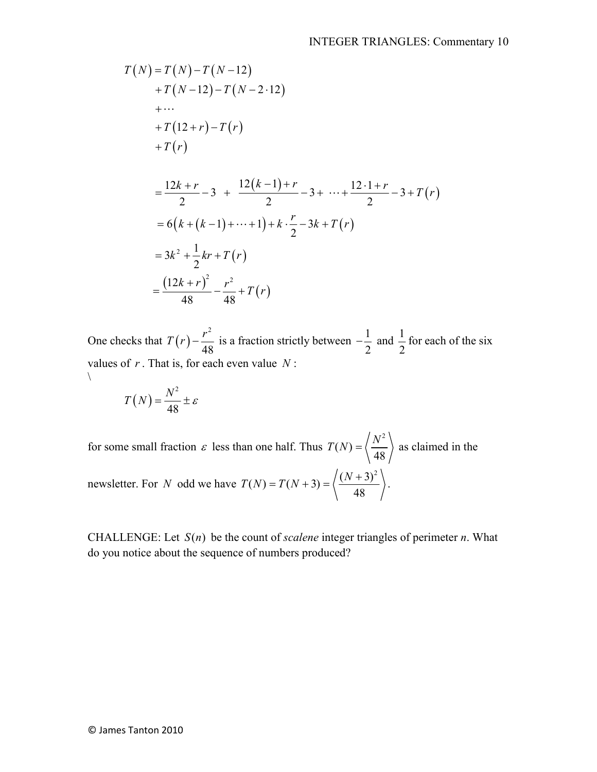$$
T(N) = T(N) - T(N - 12)
$$
  
+  $T(N - 12) - T(N - 2 \cdot 12)$   
+ ...  
+  $T(12 + r) - T(r)$   
+  $T(r)$   
=  $\frac{12k + r}{2} - 3 + \frac{12(k - 1) + r}{2} - 3 + \dots + \frac{12 \cdot 1 + r}{2} - 3 + T(r)$   
=  $6(k + (k - 1) + \dots + 1) + k \cdot \frac{r}{2} - 3k + T(r)$   
=  $3k^2 + \frac{1}{2}kr + T(r)$   
=  $\frac{(12k + r)^2}{48} - \frac{r^2}{48} + T(r)$ 

One checks that  $T(r) - \frac{r^2}{45}$ 48  $T(r) - \frac{r^2}{40}$  is a fraction strictly between  $-\frac{1}{2}$ 2  $-\frac{1}{2}$  and  $\frac{1}{2}$ 2 for each of the six values of *r* . That is, for each even value *N* :  $\setminus$ 

$$
T(N) = \frac{N^2}{48} \pm \varepsilon
$$

for some small fraction  $\varepsilon$  less than one half. Thus 2  $(N)$  : 48  $T(N) = \left\langle \frac{N^2}{N^2} \right\rangle$  as claimed in the newsletter. For *N* odd we have  $(N) = T(N+3) = \sqrt{\frac{(N+3)^2}{10}}$ 48  $T(N) = T(N+3) = \left\langle \frac{(N+3)^2}{N} \right\rangle$ .

CHALLENGE: Let  $S(n)$  be the count of *scalene* integer triangles of perimeter *n*. What do you notice about the sequence of numbers produced?